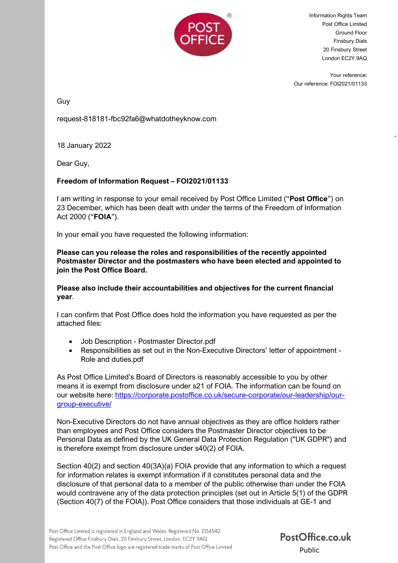

Information Rights Team Post Office Limited Ground Floor Finsbury Dials 20 Finsbury Street London EC2Y 9AQ

Your reference: Our reference: FOI2021/01133

-

Guy

request-818181-fbc92fa6@whatdotheyknow.com

18 January 2022

Dear Guy,

## **Freedom of Information Request – FOI2021/01133**

I am writing in response to your email received by Post Office Limited ("**Post Office**") on 23 December, which has been dealt with under the terms of the Freedom of Information Act 2000 ("**FOIA**").

In your email you have requested the following information:

**Please can you release the roles and responsibilities of the recently appointed Postmaster Director and the postmasters who have been elected and appointed to join the Post Office Board.**

**Please also include their accountabilities and objectives for the current financial year**.

I can confirm that Post Office does hold the information you have requested as per the attached files:

- Job Description Postmaster Director.pdf
- Responsibilities as set out in the Non-Executive Directors' letter of appointment Role and duties.pdf

As Post Office Limited's Board of Directors is reasonably accessible to you by other means it is exempt from disclosure under s21 of FOIA. The information can be found on our website here: [https://corporate.postoffice.co.uk/secure-corporate/our-leadership/our](https://corporate.postoffice.co.uk/secure-corporate/our-leadership/our-group-executive/)[group-executive/](https://corporate.postoffice.co.uk/secure-corporate/our-leadership/our-group-executive/)

Non-Executive Directors do not have annual objectives as they are office holders rather than employees and Post Office considers the Postmaster Director objectives to be Personal Data as defined by the UK General Data Protection Regulation ("UK GDPR") and is therefore exempt from disclosure under s40(2) of FOIA.

Section 40(2) and section 40(3A)(a) FOIA provide that any information to which a request for information relates is exempt information if it constitutes personal data and the disclosure of that personal data to a member of the public otherwise than under the FOIA would contravene any of the data protection principles (set out in Article 5(1) of the GDPR (Section 40(7) of the FOIA)). Post Office considers that those individuals at GE-1 and